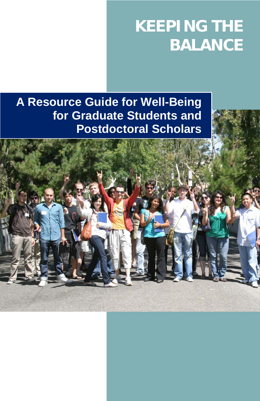# **KEEPING THE BALANCE**

**A Resource Guide for Well-Being for Graduate Students and Postdoctoral Scholars**

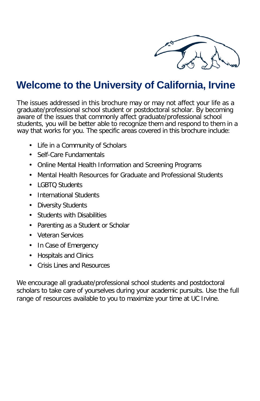

### **Welcome to the University of California, Irvine**

The issues addressed in this brochure may or may not affect your life as a graduate/professional school student or postdoctoral scholar. By becoming aware of the issues that commonly affect graduate/professional school students, you will be better able to recognize them and respond to them in a way that works for you. The specific areas covered in this brochure include:

- Life in a Community of Scholars
- Self-Care Fundamentals
- Online Mental Health Information and Screening Programs
- Mental Health Resources for Graduate and Professional Students
- LGBTO Students
- International Students
- Diversity Students
- Students with Disabilities
- Parenting as a Student or Scholar
- Veteran Services
- In Case of Emergency
- Hospitals and Clinics
- Crisis Lines and Resources

We encourage all graduate/professional school students and postdoctoral scholars to take care of yourselves during your academic pursuits. Use the full range of resources available to you to maximize your time at UC Irvine.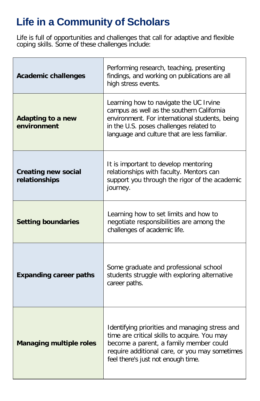# **Life in a Community of Scholars**

Life is full of opportunities and challenges that call for adaptive and flexible coping skills. Some of these challenges include:

| <b>Academic challenges</b>                  | Performing research, teaching, presenting<br>findings, and working on publications are all<br>high stress events.                                                                                                                |
|---------------------------------------------|----------------------------------------------------------------------------------------------------------------------------------------------------------------------------------------------------------------------------------|
| <b>Adapting to a new</b><br>environment     | Learning how to navigate the UC Irvine<br>campus as well as the southern California<br>environment. For international students, being<br>in the U.S. poses challenges related to<br>language and culture that are less familiar. |
| <b>Creating new social</b><br>relationships | It is important to develop mentoring<br>relationships with faculty. Mentors can<br>support you through the rigor of the academic<br>journey.                                                                                     |
| <b>Setting boundaries</b>                   | Learning how to set limits and how to<br>negotiate responsibilities are among the<br>challenges of academic life.                                                                                                                |
| <b>Expanding career paths</b>               | Some graduate and professional school<br>students struggle with exploring alternative<br>career paths.                                                                                                                           |
| <b>Managing multiple roles</b>              | Identifying priorities and managing stress and<br>time are critical skills to acquire. You may<br>become a parent, a family member could<br>require additional care, or you may sometimes<br>feel there's just not enough time.  |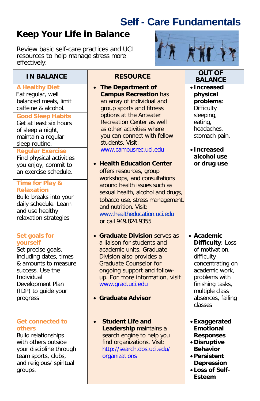# **Self - Care Fundamentals**

### **Keep Your Life in Balance**

Review basic self-care practices and UCI resources to help manage stress more effectively:



| <b>IN BALANCE</b>                                                                                                                                                                                                                                                                                                                                   | <b>RESOURCE</b>                                                                                                                                                                                                                                                                                                                                                                                                          | <b>OUT OF</b><br><b>BALANCE</b>                                                                                                                                                             |
|-----------------------------------------------------------------------------------------------------------------------------------------------------------------------------------------------------------------------------------------------------------------------------------------------------------------------------------------------------|--------------------------------------------------------------------------------------------------------------------------------------------------------------------------------------------------------------------------------------------------------------------------------------------------------------------------------------------------------------------------------------------------------------------------|---------------------------------------------------------------------------------------------------------------------------------------------------------------------------------------------|
| <b>A Healthy Diet</b><br>Eat regular, well<br>balanced meals, limit<br>caffeine & alcohol.<br><b>Good Sleep Habits</b><br>Get at least six hours<br>of sleep a night,<br>maintain a regular<br>sleep routine.<br><b>Regular Exercise</b><br>Find physical activities<br>you enjoy, commit to<br>an exercise schedule.<br><b>Time for Play &amp;</b> | The Department of<br>$\bullet$<br><b>Campus Recreation has</b><br>an array of individual and<br>group sports and fitness<br>options at the Anteater<br><b>Recreation Center as well</b><br>as other activities where<br>you can connect with fellow<br>students. Visit:<br>www.campusrec.uci.edu<br>• Health Education Center<br>offers resources, group<br>workshops, and consultations<br>around health issues such as | • Increased<br>physical<br>problems:<br>Difficulty<br>sleeping,<br>eating,<br>headaches,<br>stomach pain.<br>• Increased<br>alcohol use<br>or drug use                                      |
| <b>Relaxation</b><br>Build breaks into your<br>daily schedule. Learn<br>and use healthy<br>relaxation strategies                                                                                                                                                                                                                                    | sexual health, alcohol and drugs,<br>tobacco use, stress management,<br>and nutrition. Visit:<br>www.healtheducation.uci.edu<br>or call 949.824.9355                                                                                                                                                                                                                                                                     |                                                                                                                                                                                             |
| <b>Set goals for</b><br>yourself<br>Set precise goals,<br>including dates, times<br>& amounts to measure<br>success. Use the<br>Individual<br>Development Plan<br>(IDP) to guide your<br>progress                                                                                                                                                   | • Graduate Division serves as<br>a liaison for students and<br>academic units. Graduate<br>Division also provides a<br><b>Graduate Counselor for</b><br>ongoing support and follow-<br>up. For more information, visit<br>www.grad.uci.edu<br>• Graduate Advisor                                                                                                                                                         | • Academic<br>Difficulty: Loss<br>of motivation,<br>difficulty<br>concentrating on<br>academic work,<br>problems with<br>finishing tasks,<br>multiple class<br>absences, failing<br>classes |
| <b>Get connected to</b><br>others<br><b>Build relationships</b><br>with others outside<br>your discipline through<br>team sports, clubs,<br>and religious/ spiritual<br>groups.                                                                                                                                                                     | <b>Student Life and</b><br>$\bullet$<br>Leadership maintains a<br>search engine to help you<br>find organizations. Visit:<br>http://search.dos.uci.edu/<br>organizations                                                                                                                                                                                                                                                 | • Exaggerated<br><b>Emotional</b><br><b>Responses</b><br>• Disruptive<br><b>Behavior</b><br>• Persistent<br><b>Depression</b><br>• Loss of Self-<br><b>Esteem</b>                           |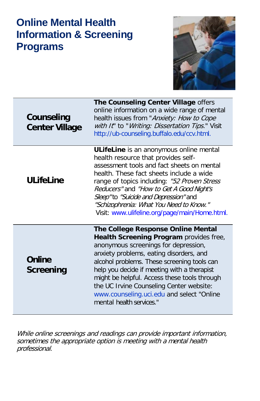### **Online Mental Health Information & Screening Programs**



| Counseling<br><b>Center Village</b> | The Counseling Center Village offers<br>online information on a wide range of mental<br>health issues from "Anxiety: How to Cope<br>with It" to "Writing: Dissertation Tips." Visit<br>http://ub-counseling.buffalo.edu/ccv.html.                                                                                                                                                                                                   |
|-------------------------------------|-------------------------------------------------------------------------------------------------------------------------------------------------------------------------------------------------------------------------------------------------------------------------------------------------------------------------------------------------------------------------------------------------------------------------------------|
| <b>ULifeLine</b>                    | ULifeLine is an anonymous online mental<br>health resource that provides self-<br>assessment tools and fact sheets on mental<br>health. These fact sheets include a wide<br>range of topics including: "52 Proven Stress<br>Reducers" and "How to Get A Good Night's<br>Sleep"to "Suicide and Depression" and<br>"Schizophrenia: What You Need to Know."<br>Visit: www.ulifeline.org/page/main/Home.html.                           |
| <b>Online</b><br>Screening          | The College Response Online Mental<br>Health Screening Program provides free,<br>anonymous screenings for depression,<br>anxiety problems, eating disorders, and<br>alcohol problems. These screening tools can<br>help you decide if meeting with a therapist<br>might be helpful. Access these tools through<br>the UC Irvine Counseling Center website:<br>www.counseling.uci.edu and select "Online<br>mental health services." |

While online screenings and readings can provide important information, sometimes the appropriate option is meeting with a mental health professional.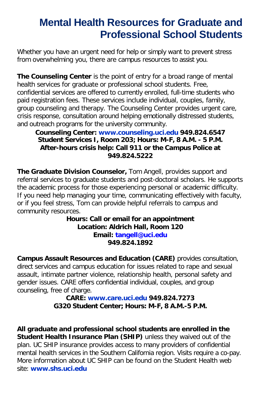### **Mental Health Resources for Graduate and Professional School Students**

Whether you have an urgent need for help or simply want to prevent stress from overwhelming you, there are campus resources to assist you.

**The Counseling Center** is the point of entry for a broad range of mental health services for graduate or professional school students. Free, confidential services are offered to currently enrolled, full-time students who paid registration fees. These services include individual, couples, family, group counseling and therapy. The Counseling Center provides urgent care, crisis response, consultation around helping emotionally distressed students, and outreach programs for the university community.

#### **Counseling Center: www.counseling.uci.edu 949.824.6547 Student Services I, Room 203; Hours: M-F, 8 A.M. - 5 P.M. After-hours crisis help: Call 911 or the Campus Police at 949.824.5222**

**The Graduate Division Counselor,** Tom Angell, provides support and referral services to graduate students and post-doctoral scholars. He supports the academic process for those experiencing personal or academic difficulty. If you need help managing your time, communicating effectively with faculty, or if you feel stress, Tom can provide helpful referrals to campus and community resources.

**Hours: Call or email for an appointment Location: Aldrich Hall, Room 120 Email: [tangell@uci.edu](mailto:tangell@uci.edu) 949.824.1892**

**Campus Assault Resources and Education (CARE)** provides consultation, direct services and campus education for issues related to rape and sexual assault, intimate partner violence, relationship health, personal safety and gender issues. CARE offers confidential individual, couples, and group counseling, free of charge.

**CARE: www.care.uci.edu 949.824.7273 G320 Student Center; Hours: M-F, 8 A.M.-5 P.M.**

**All graduate and professional school students are enrolled in the Student Health Insurance Plan (SHIP)** unless they waived out of the plan. UC SHIP insurance provides access to many providers of confidential mental health services in the Southern California region. Visits require a co-pay. More information about UC SHIP can be found on the Student Health web site: **www.shs.uci.edu**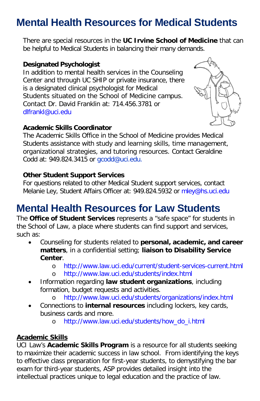# **Mental Health Resources for Medical Students**

There are special resources in the **UC Irvine School of Medicine** that can be helpful to Medical Students in balancing their many demands.

#### **Designated Psychologist**

In addition to mental health services in the Counseling Center and through UC SHIP or private insurance, there is a designated clinical psychologist for Medical Students situated on the School of Medicine campus. Contact Dr. David Franklin at: 714.456.3781 or [dlfrankl@uci.edu](mailto:dlfrankl@uci.edu)

#### **Academic Skills Coordinator**

The Academic Skills Office in the School of Medicine provides Medical Students assistance with study and learning skills, time management, organizational strategies, and tutoring resources. Contact Geraldine Codd at: 949.824.3415 or gcodd@uci.edu.

#### **Other Student Support Services**

For questions related to other Medical Student support services, contact Melanie Ley, Student Affairs Officer at: 949.824.5932 or mley@hs.uci.edu

### **Mental Health Resources for Law Students**

The **Office of Student Services** represents a "safe space" for students in the School of Law, a place where students can find support and services, such as:

- Counseling for students related to **personal, academic, and career matters**, in a confidential setting; **liaison to Disability Service Center**.
	- o <http://www.law.uci.edu/current/student-services-current.html>
	- <http://www.law.uci.edu/students/index.html>
- Information regarding **law student organizations**, including formation, budget requests and activities.
	- o <http://www.law.uci.edu/students/organizations/index.html>
- Connections to **internal resources** including lockers, key cards, business cards and more.
	- o [http://www.law.uci.edu/students/how\\_do\\_i.html](http://www.law.uci.edu/students/how_do_i.html)

#### **Academic Skills**

UCI Law's **Academic Skills Program** is a resource for all students seeking to maximize their academic success in law school. From identifying the keys to effective class preparation for first-year students, to demystifying the bar exam for third-year students, ASP provides detailed insight into the intellectual practices unique to legal education and the practice of law.

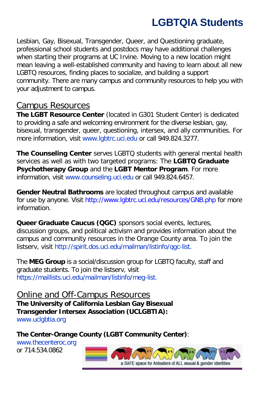# **LGBTQIA Students**

Lesbian, Gay, Bisexual, Transgender, Queer, and Questioning graduate, professional school students and postdocs may have additional challenges when starting their programs at UC Irvine. Moving to a new location might mean leaving a well-established community and having to learn about all new LGBTQ resources, finding places to socialize, and building a support community. There are many campus and community resources to help you with your adjustment to campus.

### Campus Resources

**The LGBT Resource Center** (located in G301 Student Center) is dedicated to providing a safe and welcoming environment for the diverse lesbian, gay, bisexual, transgender, queer, questioning, intersex, and ally communities. For more information, visit www.lgbtrc.uci.edu or call 949.824.3277.

**The Counseling Center** serves LGBTQ students with general mental health services as well as with two targeted programs: The **LGBTQ Graduate Psychotherapy Group** and the **LGBT Mentor Program**. For more information, visit www.counseling.uci.edu or call 949.824.6457.

**Gender Neutral Bathrooms** are located throughout campus and available for use by anyone. Visit<http://www.lgbtrc.uci.edu/resources/GNB.php> for more information.

**Queer Graduate Caucus (QGC)** sponsors social events, lectures, discussion groups, and political activism and provides information about the campus and community resources in the Orange County area. To join the listserv, visit http://spirit.dos.uci.edu/mailman/listinfo/qgc-list.

The **MEG Group** is a social/discussion group for LGBTQ faculty, staff and graduate students. To join the listserv, visit https://maillists.uci.edu/mailman/listinfo/meg-list.

Online and Off-Campus Resources **The University of California Lesbian Gay Bisexual Transgender Intersex Association (UCLGBTIA):** www.uclgbtia.org

**The Center-Orange County (LGBT Community Center)**:

www.thecenteroc.org or 714.534.0862

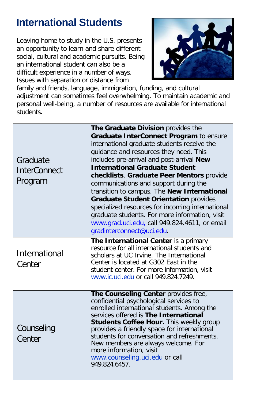## **International Students**

Leaving home to study in the U.S. presents an opportunity to learn and share different social, cultural and academic pursuits. Being an international student can also be a difficult experience in a number of ways. Issues with separation or distance from



family and friends, language, immigration, funding, and cultural adjustment can sometimes feel overwhelming. To maintain academic and personal well-being, a number of resources are available for international students.

| Graduate<br><b>InterConnect</b><br>Program | The Graduate Division provides the<br>Graduate InterConnect Program to ensure<br>international graduate students receive the<br>guidance and resources they need. This<br>includes pre-arrival and post-arrival New<br><b>International Graduate Student</b><br>checklists. Graduate Peer Mentors provide<br>communications and support during the<br>transition to campus. The New International<br><b>Graduate Student Orientation provides</b><br>specialized resources for incoming international<br>graduate students. For more information, visit<br>www.grad.uci.edu, call 949.824.4611, or email<br>gradinterconnect@uci.edu. |
|--------------------------------------------|---------------------------------------------------------------------------------------------------------------------------------------------------------------------------------------------------------------------------------------------------------------------------------------------------------------------------------------------------------------------------------------------------------------------------------------------------------------------------------------------------------------------------------------------------------------------------------------------------------------------------------------|
| International<br>Center                    | The International Center is a primary<br>resource for all international students and<br>scholars at UC Irvine. The International<br>Center is located at G302 East in the<br>student center. For more information, visit<br>www.ic.uci.edu.or.call 949.824.7249.                                                                                                                                                                                                                                                                                                                                                                      |
| Counseling<br>Center                       | The Counseling Center provides free,<br>confidential psychological services to<br>enrolled international students. Among the<br>services offered is The International<br>Students Coffee Hour. This weekly group<br>provides a friendly space for international<br>students for conversation and refreshments.<br>New members are always welcome. For<br>more information, visit<br>www.counseling.uci.edu or call<br>949.824.6457.                                                                                                                                                                                                   |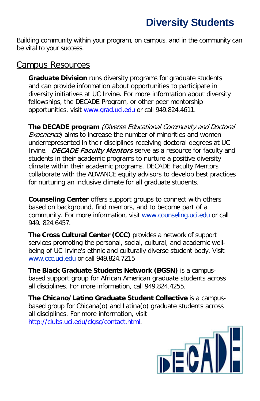# **Diversity Students**

Building community within your program, on campus, and in the community can be vital to your success.

#### Campus Resources

**Graduate Division** runs diversity programs for graduate students and can provide information about opportunities to participate in diversity initiatives at UC Irvine. For more information about diversity fellowships, the DECADE Program, or other peer mentorship opportunities, visit [www.grad.uci.edu](http://www.grad.uci.edu/) or call 949.824.4611.

**The DECADE program** (Diverse Educational Community and Doctoral Experience) aims to increase the number of minorities and women underrepresented in their disciplines receiving doctoral degrees at UC Irvine. DECADE Faculty Mentors serve as a resource for faculty and students in their academic programs to nurture a positive diversity climate within their academic programs. DECADE Faculty Mentors collaborate with the ADVANCE equity advisors to develop best practices for nurturing an inclusive climate for all graduate students.

**Counseling Center** offers support groups to connect with others based on background, find mentors, and to become part of a community. For more information, visit www.counseling.uci.edu or call 949. 824.6457.

**The Cross Cultural Center (CCC)** provides a network of support services promoting the personal, social, cultural, and academic wellbeing of UC Irvine's ethnic and culturally diverse student body. Visit www.ccc.uci.edu or call 949.824.7215

**The Black Graduate Students Network (BGSN)** is a campusbased support group for African American graduate students across all disciplines. For more information, call 949.824.4255.

**The Chicano/Latino Graduate Student Collective** is a campusbased group for Chicana(o) and Latina(o) graduate students across all disciplines. For more information, visit [http://clubs.uci.edu/clgsc/contact.html.](http://clubs.uci.edu/clgsc/contact.html)

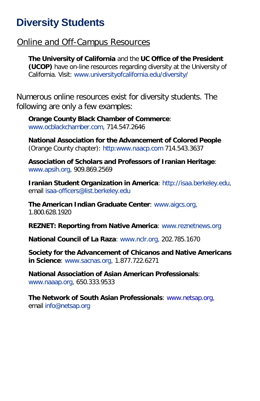### **Diversity Students**

### Online and Off-Campus Resources

**The University of California** and the **UC Office of the President (UCOP)** have on-line resources regarding diversity at the University of California. Visit: www.universityofcalifornia.edu/diversity/

Numerous online resources exist for diversity students. The following are only a few examples:

**Orange County Black Chamber of Commerce**: www.ocblackchamber.com, 714.547.2646

**National Association for the Advancement of Colored People**  (Orange County chapter): http:www.naacp.com 714.543.3637

**Association of Scholars and Professors of Iranian Heritage**: www.apsih.org, 909.869.2569

**Iranian Student Organization in America**: http://isaa.berkeley.edu, email isaa-officers@list.berkeley.edu

**The American Indian Graduate Center**: www.aigcs.org, 1.800.628.1920

**REZNET: Reporting from Native America**: www.reznetnews.org

**National Council of La Raza**: www.nclr.org, 202.785.1670

**Society for the Advancement of Chicanos and Native Americans in Science**: www.sacnas.org, 1.877.722.6271

**National Association of Asian American Professionals**: www.naaap.org, 650.333.9533

**The Network of South Asian Professionals**: [www.netsap.org,](http://www.netsap.org/) email info@netsap.org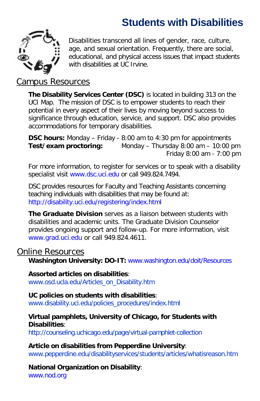# **Students with Disabilities**



Disabilities transcend all lines of gender, race, culture, age, and sexual orientation. Frequently, there are social, educational, and physical access issues that impact students with disabilities at UC Irvine.

#### Campus Resources

**The Disability Services Center (DSC)** is located in building 313 on the UCI Map. The mission of DSC is to empower students to reach their potential in every aspect of their lives by moving beyond success to significance through education, service, and support. DSC also provides accommodations for temporary disabilities.

**DSC hours:** Monday – Friday - 8:00 am to 4:30 pm for appointments **Test/exam proctoring:** Monday – Thursday 8:00 am – 10:00 pm Friday 8:00 am - 7:00 pm

For more information, to register for services or to speak with a disability specialist visit [www.dsc.uci.edu](http://www.dsc.uci.edu/) or call 949.824.7494.

DSC provides resources for Faculty and Teaching Assistants concerning teaching individuals with disabilities that may be found at: http://disability.uci.edu/registering/index.html

**The Graduate Division** serves as a liaison between students with disabilities and academic units. The Graduate Division Counselor provides ongoing support and follow-up. For more information, visit [www.grad.uci.edu](http://www.grad.uci.edu/) or call 949.824.4611.

#### Online Resources

**Washington University: DO-IT:** [www.washington.edu/doit/Resources](http://www.washington.edu/doit/Resources)

#### **Assorted articles on disabilities**:

www.osd.ucla.edu/Articles\_on\_Disability.htm

#### **UC policies on students with disabilities**:

www.disability.uci.edu/policies\_procedures/index.html

#### **Virtual pamphlets, University of Chicago, for Students with Disabilities**:

http://counseling.uchicago.edu/page/virtual-pamphlet-collection

#### **Article on disabilities from Pepperdine University**:

www.pepperdine.edu/disabilityservices/students/articles/whatisreason.htm

#### **National Organization on Disability**:

[www.nod.org](http://www.nod.org/)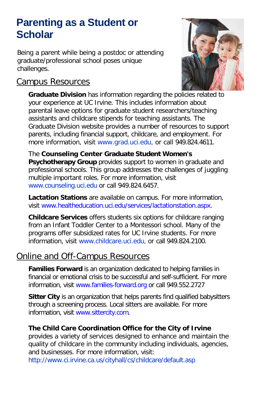### **Parenting as a Student or Scholar**

Being a parent while being a postdoc or attending graduate/professional school poses unique challenges.

### Campus Resources



**Graduate Division** has information regarding the policies related to your experience at UC Irvine. This includes information about parental leave options for graduate student researchers/teaching assistants and childcare stipends for teaching assistants. The Graduate Division website provides a number of resources to support parents, including financial support, childcare, and employment. For more information, visit www.grad.uci.edu, or call 949.824.4611.

The **Counseling Center Graduate Student Women's Psychotherapy Group** provides support to women in graduate and professional schools. This group addresses the challenges of juggling multiple important roles. For more information, visit www.counseling.uci.edu or call 949.824.6457.

**Lactation Stations** are available on campus. For more information, visit [www.healtheducation.uci.edu/services/lactationstation.aspx.](http://www.healtheducation.uci.edu/services/lactationstation.aspx)

**Childcare Services** offers students six options for childcare ranging from an Infant Toddler Center to a Montessori school. Many of the programs offer subsidized rates for UC Irvine students. For more information, visit www.childcare.uci.edu, or call 949.824.2100.

### Online and Off-Campus Resources

**Families Forward** is an organization dedicated to helping families in financial or emotional crisis to be successful and self-sufficient. For more information, visit [www.families-forward.org](http://www.families-forward.org/) or call 949.552.2727

**Sitter City** is an organization that helps parents find qualified babysitters through a screening process. Local sitters are available. For more information, visit [www.sittercity.com.](http://www.sittercity.com/)

#### **The Child Care Coordination Office for the City of Irvine**

provides a variety of services designed to enhance and maintain the quality of childcare in the community including individuals, agencies, and businesses. For more information, visit:

http://www.ci.irvine.ca.us/cityhall/cs/childcare/default.asp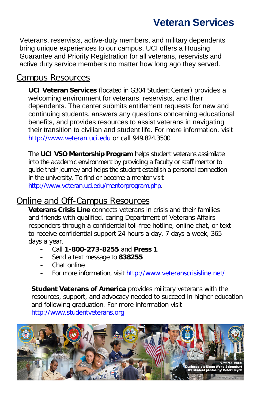### **Veteran Services**

Veterans, reservists, active-duty members, and military dependents bring unique experiences to our campus. UCI offers a Housing Guarantee and Priority Registration for all veterans, reservists and active duty service members no matter how long ago they served.

#### Campus Resources

**UCI Veteran Services** (located in G304 Student Center) provides a welcoming environment for veterans, reservists, and their dependents. The center submits entitlement requests for new and continuing students, answers any questions concerning educational benefits, and provides resources to assist veterans in navigating their transition to civilian and student life. For more information, visit [http://www.veteran.uci.edu](http://www.veteran.uci.edu/index.php) or call 949.824.3500.

The **UCI VSO Mentorship Program** helps student veterans assimilate into the academic environment by providing a faculty or staff mentor to guide their journey and helps the student establish a personal connection in the university. To find or become a mentor visit [http://www.veteran.uci.edu/mentorprogram.php.](http://www.veteran.uci.edu/mentorprogram.php)

### Online and Off-Campus Resources

**Veterans Crisis Line** connects veterans in crisis and their families and friends with qualified, caring Department of Veterans Affairs responders through a confidential toll-free hotline, online chat, or text to receive confidential support 24 hours a day, 7 days a week, 365 days a year.

- **-** Call **1-800-273-8255** and **Press 1**
- **-** Send a text message to **838255**
- **-** [Chat online](http://www.veteranscrisisline.net/ChatTermsOfService.aspx)
- **-** For more information, visit<http://www.veteranscrisisline.net/>

**Student Veterans of America** provides military veterans with the resources, support, and advocacy needed to succeed in higher education and following graduation. For more information visit [http://www.studentveterans.org](http://www.studentveterans.org/)

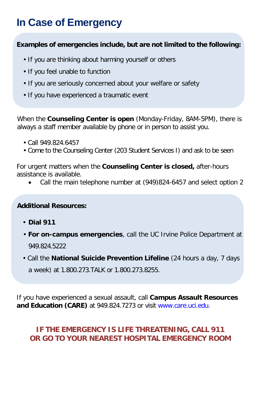# **In Case of Emergency**

#### **Examples of emergencies include, but are not limited to the following:**

- If you are thinking about harming yourself or others
- If you feel unable to function
- If you are seriously concerned about your welfare or safety
- If you have experienced a traumatic event

When the **Counseling Center is open** (Monday-Friday, 8AM-5PM), there is always a staff member available by phone or in person to assist you.

- Call 949.824.6457
- Come to the Counseling Center (203 Student Services I) and ask to be seen

For urgent matters when the **Counseling Center is closed,** after-hours assistance is available.

• Call the main telephone number at (949)824-6457 and select option 2

#### **Additional Resources:**

- **Dial 911**
- **For on-campus emergencies**, call the UC Irvine Police Department at 949.824.5222
- Call the **National Suicide Prevention Lifeline** (24 hours a day, 7 days a week) at 1.800.273.TALK or 1.800.273.8255.

If you have experienced a sexual assault, call **Campus Assault Resources and Education (CARE)** at 949.824.7273 or visit [www.care.uci.edu.](http://www.care.uci.edu/)

#### **IF THE EMERGENCY IS LIFE THREATENING, CALL 911 OR GO TO YOUR NEAREST HOSPITAL EMERGENCY ROOM**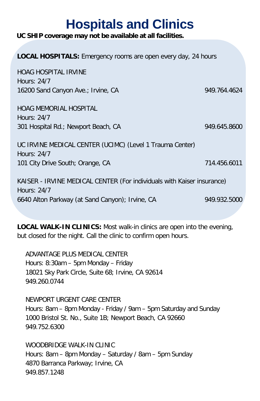# **Hospitals and Clinics**

**UC SHIP coverage may not be available at all facilities.** 

| <b>LOCAL HOSPITALS:</b> Emergency rooms are open every day, 24 hours                  |              |  |  |
|---------------------------------------------------------------------------------------|--------------|--|--|
| <b>HOAG HOSPITAL IRVINE</b>                                                           |              |  |  |
| Hours: 24/7                                                                           |              |  |  |
| 16200 Sand Canyon Ave.; Irvine, CA                                                    | 949.764.4624 |  |  |
| <b>HOAG MEMORIAL HOSPITAL</b>                                                         |              |  |  |
| Hours: $24/7$                                                                         |              |  |  |
| 301 Hospital Rd.; Newport Beach, CA                                                   | 949.645.8600 |  |  |
| UC IRVINE MEDICAL CENTER (UCIMC) (Level 1 Trauma Center)<br>Hours: $24/7$             |              |  |  |
| 101 City Drive South; Orange, CA                                                      | 714.456.6011 |  |  |
| KAISER - IRVINE MEDICAL CENTER (For individuals with Kaiser insurance)<br>Hours: 24/7 |              |  |  |
| 6640 Alton Parkway (at Sand Canyon); Irvine, CA                                       | 949.932.5000 |  |  |

**LOCAL WALK-IN CLINICS:** Most walk-in clinics are open into the evening, but closed for the night. Call the clinic to confirm open hours.

ADVANTAGE PLUS MEDICAL CENTER Hours: 8:30am – 5pm Monday – Friday 18021 Sky Park Circle, Suite 68; Irvine, CA 92614 949.260.0744

NEWPORT URGENT CARE CENTER Hours: 8am – 8pm Monday - Friday / 9am – 5pm Saturday and Sunday 1000 Bristol St. No., Suite 1B; Newport Beach, CA 92660 949.752.6300

WOODBRIDGE WALK-IN CLINIC Hours: 8am – 8pm Monday – Saturday / 8am – 5pm Sunday 4870 Barranca Parkway; Irvine, CA 949.857.1248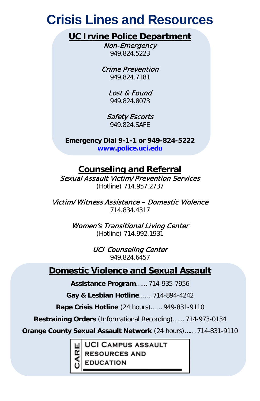# **Crisis Lines and Resources**

### **UC Irvine Police Department**

Non-Emergency 949.824.5223

Crime Prevention 949.824.7181

> Lost & Found 949.824.8073

Safety Escorts 949.824.SAFE

**Emergency Dial 9-1-1 or 949-824-5222 www.police.uci.edu**

### **Counseling and Referral**

Sexual Assault Victim/Prevention Services (Hotline) 714.957.2737

Victim/Witness Assistance – Domestic Violence 714.834.4317

> Women's Transitional Living Center (Hotline) 714.992.1931

> > UCI Counseling Center 949.824.6457

### **Domestic Violence and Sexual Assault**

**Assistance Program**…… 714-935-7956

**Gay & Lesbian Hotline**...... 714-894-4242

**Rape Crisis Hotline** (24 hours)…… 949-831-9110

**Restraining Orders** (Informational Recording)…… 714-973-0134

**Orange County Sexual Assault Network** (24 hours)…… 714-831-9110

**UCI CAMPUS ASSAULT** 

**RESOURCES AND** 

**EDUCATION**